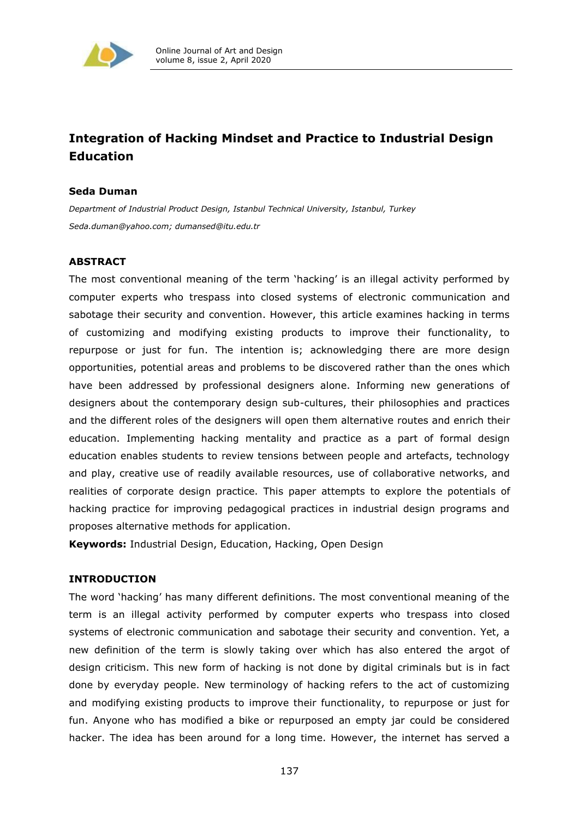

# **Integration of Hacking Mindset and Practice to Industrial Design Education**

# **Seda Duman**

*Department of Industrial Product Design, Istanbul Technical University, Istanbul, Turkey [Seda.duman@yahoo.com;](mailto:Seda.duman@yahoo.com) [dumansed@itu.edu.tr](mailto:dumansed@itu.edu.tr)*

# **ABSTRACT**

The most conventional meaning of the term 'hacking' is an illegal activity performed by computer experts who trespass into closed systems of electronic communication and sabotage their security and convention. However, this article examines hacking in terms of customizing and modifying existing products to improve their functionality, to repurpose or just for fun. The intention is; acknowledging there are more design opportunities, potential areas and problems to be discovered rather than the ones which have been addressed by professional designers alone. Informing new generations of designers about the contemporary design sub-cultures, their philosophies and practices and the different roles of the designers will open them alternative routes and enrich their education. Implementing hacking mentality and practice as a part of formal design education enables students to review tensions between people and artefacts, technology and play, creative use of readily available resources, use of collaborative networks, and realities of corporate design practice. This paper attempts to explore the potentials of hacking practice for improving pedagogical practices in industrial design programs and proposes alternative methods for application.

**Keywords:** Industrial Design, Education, Hacking, Open Design

# **INTRODUCTION**

The word 'hacking' has many different definitions. The most conventional meaning of the term is an illegal activity performed by computer experts who trespass into closed systems of electronic communication and sabotage their security and convention. Yet, a new definition of the term is slowly taking over which has also entered the argot of design criticism. This new form of hacking is not done by digital criminals but is in fact done by everyday people. New terminology of hacking refers to the act of customizing and modifying existing products to improve their functionality, to repurpose or just for fun. Anyone who has modified a bike or repurposed an empty jar could be considered hacker. The idea has been around for a long time. However, the internet has served a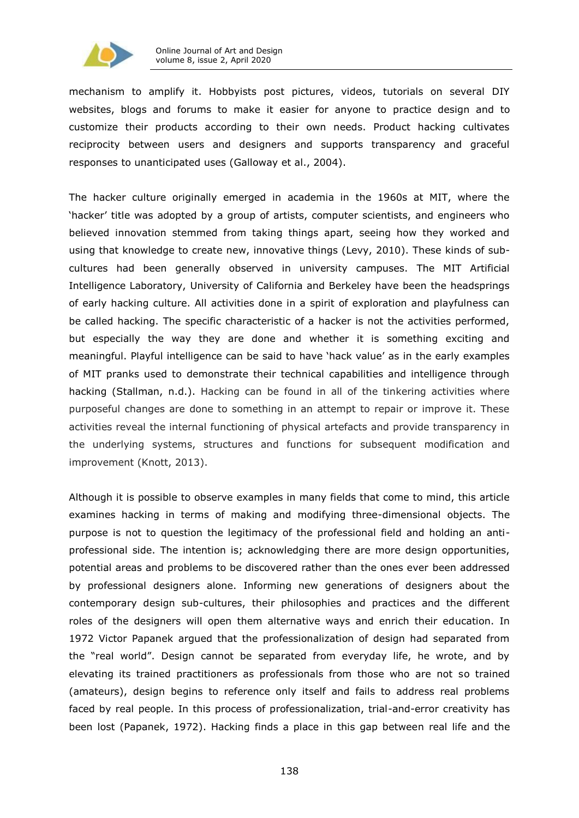

mechanism to amplify it. Hobbyists post pictures, videos, tutorials on several DIY websites, blogs and forums to make it easier for anyone to practice design and to customize their products according to their own needs. Product hacking cultivates reciprocity between users and designers and supports transparency and graceful responses to unanticipated uses (Galloway et al., 2004).

The hacker culture originally emerged in academia in the 1960s at MIT, where the 'hacker' title was adopted by a group of artists, computer scientists, and engineers who believed innovation stemmed from taking things apart, seeing how they worked and using that knowledge to create new, innovative things (Levy, 2010). These kinds of subcultures had been generally observed in university campuses. The MIT Artificial Intelligence Laboratory, University of California and Berkeley have been the headsprings of early hacking culture. All activities done in a spirit of exploration and playfulness can be called hacking. The specific characteristic of a hacker is not the activities performed, but especially the way they are done and whether it is something exciting and meaningful. Playful intelligence can be said to have 'hack value' as in the early examples of MIT pranks used to demonstrate their technical capabilities and intelligence through hacking [\(Stallman,](http://stallman.org/articles/on-hacking.html) n.d.). Hacking can be found in all of the tinkering activities where purposeful changes are done to something in an attempt to repair or improve it. These activities reveal the internal functioning of physical artefacts and provide transparency in the underlying systems, structures and functions for subsequent modification and improvement (Knott, 2013).

Although it is possible to observe examples in many fields that come to mind, this article examines hacking in terms of making and modifying three-dimensional objects. The purpose is not to question the legitimacy of the professional field and holding an antiprofessional side. The intention is; acknowledging there are more design opportunities, potential areas and problems to be discovered rather than the ones ever been addressed by professional designers alone. Informing new generations of designers about the contemporary design sub-cultures, their philosophies and practices and the different roles of the designers will open them alternative ways and enrich their education. In 1972 Victor Papanek argued that the professionalization of design had separated from the "real world". Design cannot be separated from everyday life, he wrote, and by elevating its trained practitioners as professionals from those who are not so trained (amateurs), design begins to reference only itself and fails to address real problems faced by real people. In this process of professionalization, trial-and-error creativity has been lost (Papanek, 1972). Hacking finds a place in this gap between real life and the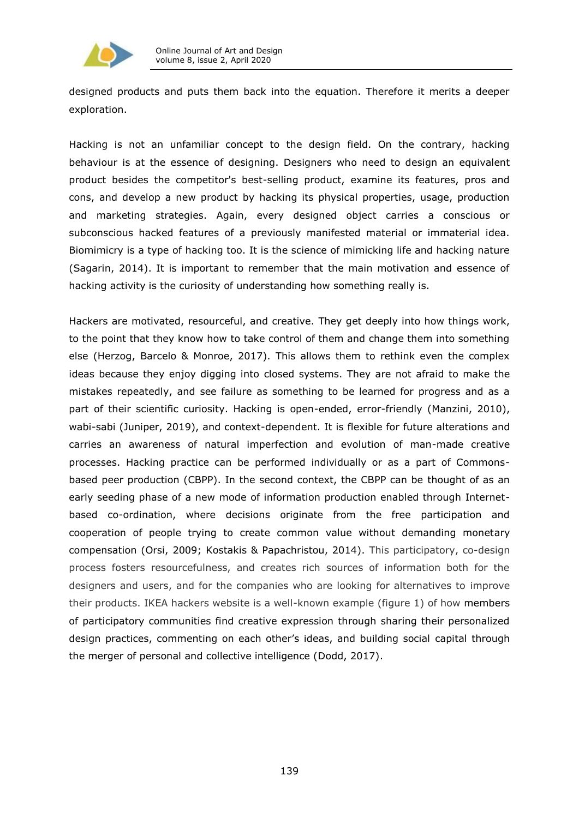

designed products and puts them back into the equation. Therefore it merits a deeper exploration.

Hacking is not an unfamiliar concept to the design field. On the contrary, hacking behaviour is at the essence of designing. Designers who need to design an equivalent product besides the competitor's best-selling product, examine its features, pros and cons, and develop a new product by hacking its physical properties, usage, production and marketing strategies. Again, every designed object carries a conscious or subconscious hacked features of a previously manifested material or immaterial idea. Biomimicry is a type of hacking too. It is the science of mimicking life and hacking nature [\(Sagarin,](https://hbr.org/2013/06/when-your-data-is-under-siege) 2014). It is important to remember that the main motivation and essence of hacking activity is the curiosity of understanding how something really is.

Hackers are motivated, resourceful, and creative. They get deeply into how things work, to the point that they know how to take control of them and change them into something else (Herzog, Barcelo & Monroe, 2017). This allows them to rethink even the complex ideas because they enjoy digging into closed systems. They are not afraid to make the mistakes repeatedly, and see failure as something to be learned for progress and as a part of their scientific curiosity. Hacking is open-ended, error-friendly (Manzini, 2010), wabi-sabi (Juniper, 2019), and context-dependent. It is flexible for future alterations and carries an awareness of natural imperfection and evolution of man-made creative processes. Hacking practice can be performed individually or as a part of Commonsbased peer production (CBPP). In the second context, the CBPP can be thought of as an early seeding phase of a new mode of information production enabled through Internetbased co-ordination, where decisions originate from the free participation and cooperation of people trying to create common value without demanding monetary compensation (Orsi, 2009; Kostakis & Papachristou, 2014). This participatory, co-design process fosters resourcefulness, and creates rich sources of information both for the designers and users, and for the companies who are looking for alternatives to improve their products. IKEA hackers website is a well-known example (figure 1) of how members of participatory communities find creative expression through sharing their personalized design practices, commenting on each other's ideas, and building social capital through the merger of personal and collective intelligence (Dodd, 2017).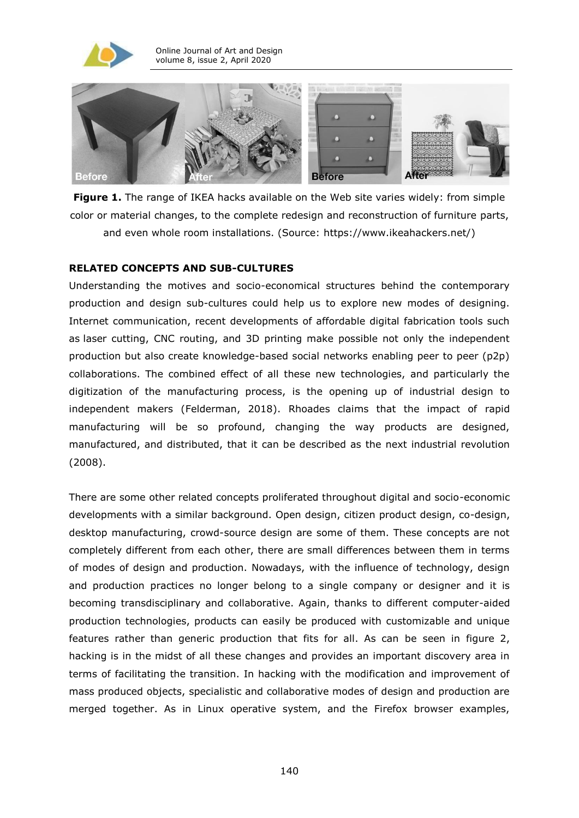



**Figure 1.** The range of IKEA hacks available on the Web site varies widely: from simple color or material changes, to the complete redesign and reconstruction of furniture parts, and even whole room installations. (Source: https://www.ikeahackers.net/)

#### **RELATED CONCEPTS AND SUB-CULTURES**

Understanding the motives and socio-economical structures behind the contemporary production and design sub-cultures could help us to explore new modes of designing. Internet communication, recent developments of affordable digital fabrication tools such as [laser cutting,](https://www.ponoko.com/laser-cutting) CNC routing, and 3D printing make possible not only the independent production but also create knowledge-based social networks enabling peer to peer (p2p) collaborations. The combined effect of all these new technologies, and particularly the digitization of the manufacturing process, is the opening up of industrial design to independent makers (Felderman, 2018). Rhoades claims that the impact of rapid manufacturing will be so profound, changing the way products are designed, manufactured, and distributed, that it can be described as the next industrial revolution (2008).

There are some other related concepts proliferated throughout digital and socio-economic developments with a similar background. Open design, citizen product design, co-design, desktop manufacturing, crowd-source design are some of them. These concepts are not completely different from each other, there are small differences between them in terms of modes of design and production. Nowadays, with the influence of technology, design and production practices no longer belong to a single company or designer and it is becoming transdisciplinary and collaborative. Again, thanks to different computer-aided production technologies, products can easily be produced with customizable and unique features rather than generic production that fits for all. As can be seen in figure 2, hacking is in the midst of all these changes and provides an important discovery area in terms of facilitating the transition. In hacking with the modification and improvement of mass produced objects, specialistic and collaborative modes of design and production are merged together. As in Linux operative system, and the Firefox browser examples,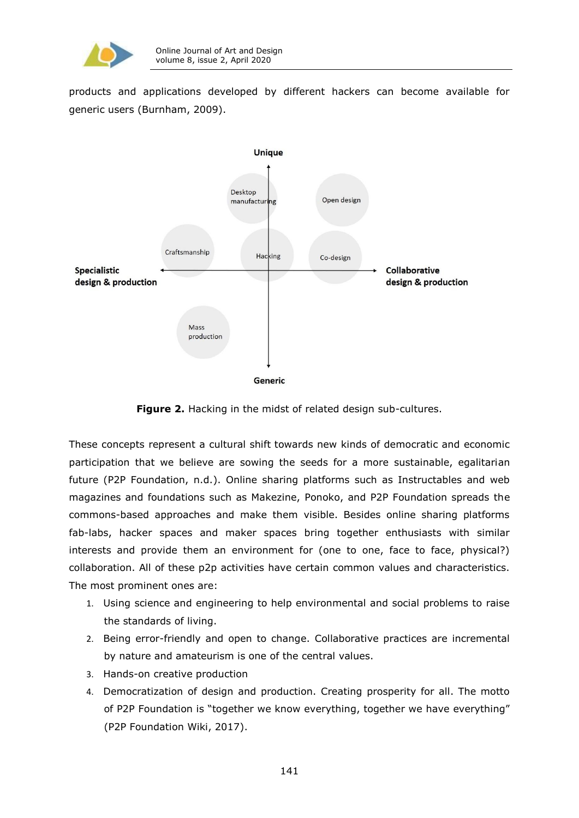

products and applications developed by different hackers can become available for generic users (Burnham, 2009).



**Figure 2.** Hacking in the midst of related design sub-cultures.

These concepts represent a cultural shift towards new kinds of democratic and economic participation that we believe are sowing the seeds for a more sustainable, egalitarian future [\(P2P](https://p2pfoundation.net/the-p2p-foundation/about-the-p2p-foundation) Foundation, n.d.). Online sharing platforms such as Instructables and web magazines and foundations such as Makezine, Ponoko, and P2P Foundation spreads the commons-based approaches and make them visible. Besides online sharing platforms fab-labs, hacker spaces and maker spaces bring together enthusiasts with similar interests and provide them an environment for (one to one, face to face, physical?) collaboration. All of these p2p activities have certain common values and characteristics. The most prominent ones are:

- 1. Using science and engineering to help environmental and social problems to raise the standards of living.
- 2. Being error-friendly and open to change. Collaborative practices are incremental by nature and amateurism is one of the central values.
- 3. Hands-on creative production
- 4. Democratization of design and production. Creating prosperity for all. The motto of P2P Foundation is "together we know everything, together we have everything" [\(P2P](https://wiki.p2pfoundation.net/) Foundation Wiki, 2017).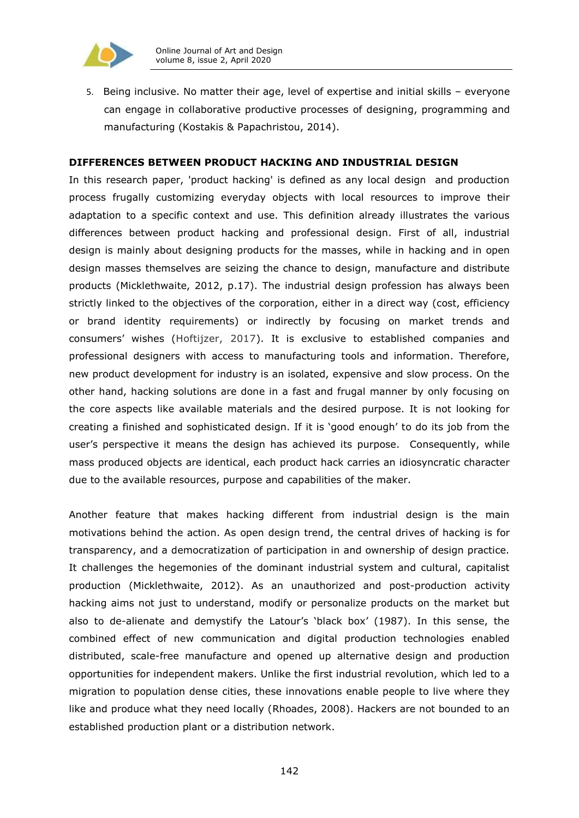

5. Being inclusive. No matter their age, level of expertise and initial skills – everyone can engage in collaborative productive processes of designing, programming and manufacturing (Kostakis & Papachristou, 2014).

# **DIFFERENCES BETWEEN PRODUCT HACKING AND INDUSTRIAL DESIGN**

In this research paper, 'product hacking' is defined as any local design and production process frugally customizing everyday objects with local resources to improve their adaptation to a specific context and use. This definition already illustrates the various differences between product hacking and professional design. First of all, industrial design is mainly about designing products for the masses, while in hacking and in open design masses themselves are seizing the chance to design, manufacture and distribute products (Micklethwaite, 2012, p.17). The industrial design profession has always been strictly linked to the objectives of the corporation, either in a direct way (cost, efficiency or brand identity requirements) or indirectly by focusing on market trends and consumers' wishes (Hoftijzer, 2017). It is exclusive to established companies and professional designers with access to manufacturing tools and information. Therefore, new product development for industry is an isolated, expensive and slow process. On the other hand, hacking solutions are done in a fast and frugal manner by only focusing on the core aspects like available materials and the desired purpose. It is not looking for creating a finished and sophisticated design. If it is 'good enough' to do its job from the user's perspective it means the design has achieved its purpose. Consequently, while mass produced objects are identical, each product hack carries an idiosyncratic character due to the available resources, purpose and capabilities of the maker.

Another feature that makes hacking different from industrial design is the main motivations behind the action. As open design trend, the central drives of hacking is for transparency, and a democratization of participation in and ownership of design practice. It challenges the hegemonies of the dominant industrial system and cultural, capitalist production (Micklethwaite, 2012). As an unauthorized and post-production activity hacking aims not just to understand, modify or personalize products on the market but also to de-alienate and demystify the Latour's 'black box' (1987). In this sense, the combined effect of new communication and digital production technologies enabled distributed, scale-free manufacture and opened up alternative design and production opportunities for independent makers. Unlike the first industrial revolution, which led to a migration to population dense cities, these innovations enable people to live where they like and produce what they need locally [\(Rhoades,](https://www.nae.edu/7600/TheTransformationofManufacturinginthe21stCentury) 2008). Hackers are not bounded to an established production plant or a distribution network.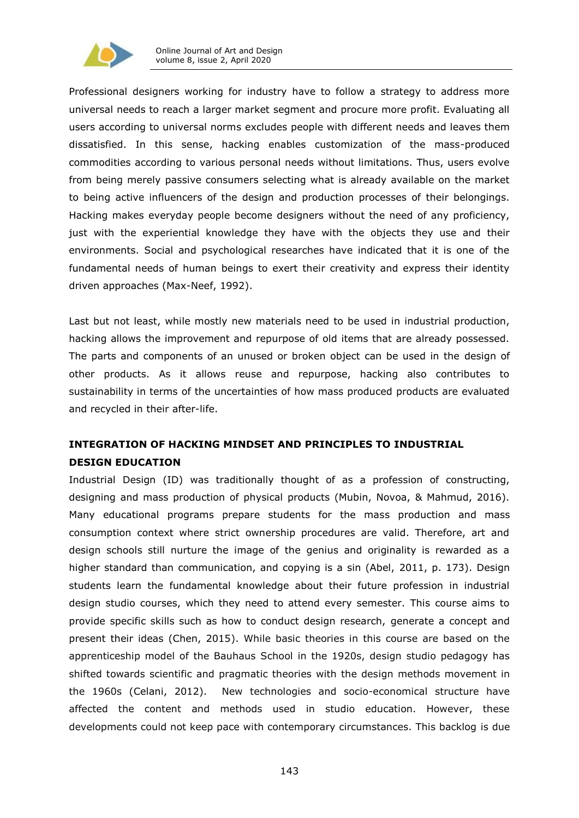

Professional designers working for industry have to follow a strategy to address more universal needs to reach a larger market segment and procure more profit. Evaluating all users according to universal norms excludes people with different needs and leaves them dissatisfied. In this sense, hacking enables customization of the mass-produced commodities according to various personal needs without limitations. Thus, users evolve from being merely passive consumers selecting what is already available on the market to being active influencers of the design and production processes of their belongings. Hacking makes everyday people become designers without the need of any proficiency, just with the experiential knowledge they have with the objects they use and their environments. Social and psychological researches have indicated that it is one of the fundamental needs of human beings to exert their creativity and express their identity driven approaches (Max-Neef, 1992).

Last but not least, while mostly new materials need to be used in industrial production, hacking allows the improvement and repurpose of old items that are already possessed. The parts and components of an unused or broken object can be used in the design of other products. As it allows reuse and repurpose, hacking also contributes to sustainability in terms of the uncertainties of how mass produced products are evaluated and recycled in their after-life.

# **INTEGRATION OF HACKING MINDSET AND PRINCIPLES TO INDUSTRIAL DESIGN EDUCATION**

Industrial Design (ID) was traditionally thought of as a profession of constructing, designing and mass production of physical products (Mubin, Novoa, & Mahmud, 2016). Many educational programs prepare students for the mass production and mass consumption context where strict ownership procedures are valid. Therefore, art and design schools still nurture the image of the genius and originality is rewarded as a higher standard than communication, and copying is a sin (Abel, 2011, p. 173). Design students learn the fundamental knowledge about their future profession in industrial design studio courses, which they need to attend every semester. This course aims to provide specific skills such as how to conduct design research, generate a concept and present their ideas (Chen, 2015). While basic theories in this course are based on the apprenticeship model of the Bauhaus School in the 1920s, design studio pedagogy has shifted towards scientific and pragmatic theories with the design methods movement in the 1960s (Celani, 2012). New technologies and socio-economical structure have affected the content and methods used in studio education. However, these developments could not keep pace with contemporary circumstances. This backlog is due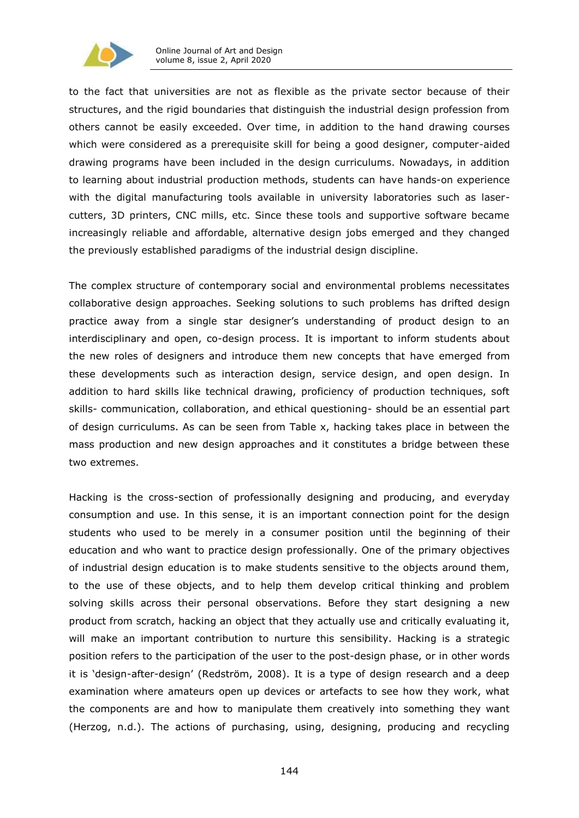

to the fact that universities are not as flexible as the private sector because of their structures, and the rigid boundaries that distinguish the industrial design profession from others cannot be easily exceeded. Over time, in addition to the hand drawing courses which were considered as a prerequisite skill for being a good designer, computer-aided drawing programs have been included in the design curriculums. Nowadays, in addition to learning about industrial production methods, students can have hands-on experience with the digital manufacturing tools available in university laboratories such as lasercutters, 3D printers, CNC mills, etc. Since these tools and supportive software became increasingly reliable and affordable, alternative design jobs emerged and they changed the previously established paradigms of the industrial design discipline.

The complex structure of contemporary social and environmental problems necessitates collaborative design approaches. Seeking solutions to such problems has drifted design practice away from a single star designer's understanding of product design to an interdisciplinary and open, co-design process. It is important to inform students about the new roles of designers and introduce them new concepts that have emerged from these developments such as interaction design, service design, and open design. In addition to hard skills like technical drawing, proficiency of production techniques, soft skills- communication, collaboration, and ethical questioning- should be an essential part of design curriculums. As can be seen from Table x, hacking takes place in between the mass production and new design approaches and it constitutes a bridge between these two extremes.

Hacking is the cross-section of professionally designing and producing, and everyday consumption and use. In this sense, it is an important connection point for the design students who used to be merely in a consumer position until the beginning of their education and who want to practice design professionally. One of the primary objectives of industrial design education is to make students sensitive to the objects around them, to the use of these objects, and to help them develop critical thinking and problem solving skills across their personal observations. Before they start designing a new product from scratch, hacking an object that they actually use and critically evaluating it, will make an important contribution to nurture this sensibility. Hacking is a strategic position refers to the participation of the user to the post-design phase, or in other words it is 'design-after-design' (Redström, 2008). It is a type of design research and a deep examination where amateurs open up devices or artefacts to see how they work, what the components are and how to manipulate them creatively into something they want (Herzog, n.d.). The actions of purchasing, using, designing, producing and recycling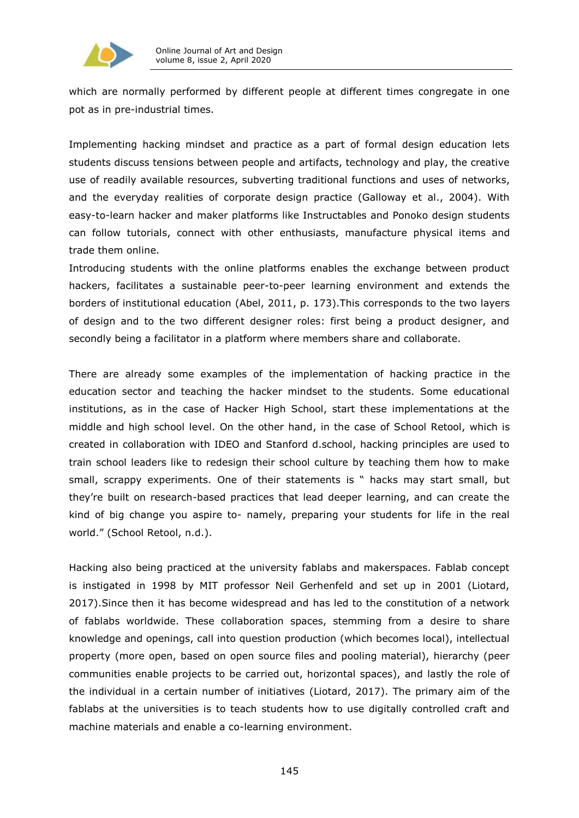

which are normally performed by different people at different times congregate in one pot as in pre-industrial times.

Implementing hacking mindset and practice as a part of formal design education lets students discuss tensions between people and artifacts, technology and play, the creative use of readily available resources, subverting traditional functions and uses of networks, and the everyday realities of corporate design practice (Galloway et al., 2004). With easy-to-learn hacker and maker platforms like Instructables and Ponoko design students can follow tutorials, connect with other enthusiasts, manufacture physical items and trade them online.

Introducing students with the online platforms enables the exchange between product hackers, facilitates a sustainable peer-to-peer learning environment and extends the borders of institutional education (Abel, 2011, p. 173).This corresponds to the two layers of design and to the two different designer roles: first being a product designer, and secondly being a facilitator in a platform where members share and collaborate.

There are already some examples of the implementation of hacking practice in the education sector and teaching the hacker mindset to the students. Some educational institutions, as in the case of Hacker High School, start these implementations at the middle and high school level. On the other hand, in the case of School Retool, which is created in collaboration with IDEO and Stanford d.school, hacking principles are used to train school leaders like to redesign their school culture by teaching them how to make small, scrappy experiments. One of their statements is " hacks may start small, but they're built on research-based practices that lead deeper learning, and can create the kind of big change you aspire to- namely, preparing your students for life in the real world." [\(School](https://schoolretool.org/) Retool, n.d.).

Hacking also being practiced at the university fablabs and makerspaces. Fablab concept is instigated in 1998 by MIT professor Neil Gerhenfeld and set up in 2001 (Liotard, 2017).Since then it has become widespread and has led to the constitution of a network of fablabs worldwide. These collaboration spaces, stemming from a desire to share knowledge and openings, call into question production (which becomes local), intellectual property (more open, based on open source files and pooling material), hierarchy (peer communities enable projects to be carried out, horizontal spaces), and lastly the role of the individual in a certain number of initiatives [\(Liotard,](https://drive.google.com/file/d/0B6dbzKVh_GtpRnFreEhVajg4bWM/view) 2017). The primary aim of the fablabs at the universities is to teach students how to use digitally controlled craft and machine materials and enable a co-learning environment.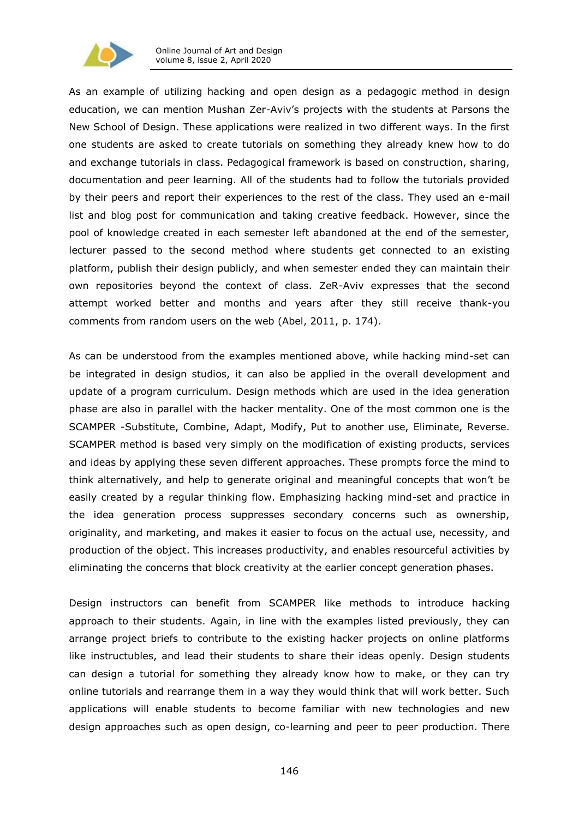

As an example of utilizing hacking and open design as a pedagogic method in design education, we can mention Mushan Zer-Aviv's projects with the students at Parsons the New School of Design. These applications were realized in two different ways. In the first one students are asked to create tutorials on something they already knew how to do and exchange tutorials in class. Pedagogical framework is based on construction, sharing, documentation and peer learning. All of the students had to follow the tutorials provided by their peers and report their experiences to the rest of the class. They used an e-mail list and blog post for communication and taking creative feedback. However, since the pool of knowledge created in each semester left abandoned at the end of the semester, lecturer passed to the second method where students get connected to an existing platform, publish their design publicly, and when semester ended they can maintain their own repositories beyond the context of class. ZeR-Aviv expresses that the second attempt worked better and months and years after they still receive thank-you comments from random users on the web (Abel, 2011, p. 174).

As can be understood from the examples mentioned above, while hacking mind-set can be integrated in design studios, it can also be applied in the overall development and update of a program curriculum. Design methods which are used in the idea generation phase are also in parallel with the hacker mentality. One of the most common one is the SCAMPER -Substitute, Combine, Adapt, Modify, Put to another use, Eliminate, Reverse. SCAMPER method is based very simply on the modification of existing products, services and ideas by applying these seven different approaches. These prompts force the mind to think alternatively, and help to generate original and meaningful concepts that won't be easily created by a regular thinking flow. Emphasizing hacking mind-set and practice in the idea generation process suppresses secondary concerns such as ownership, originality, and marketing, and makes it easier to focus on the actual use, necessity, and production of the object. This increases productivity, and enables resourceful activities by eliminating the concerns that block creativity at the earlier concept generation phases.

Design instructors can benefit from SCAMPER like methods to introduce hacking approach to their students. Again, in line with the examples listed previously, they can arrange project briefs to contribute to the existing hacker projects on online platforms like instructubles, and lead their students to share their ideas openly. Design students can design a tutorial for something they already know how to make, or they can try online tutorials and rearrange them in a way they would think that will work better. Such applications will enable students to become familiar with new technologies and new design approaches such as open design, co-learning and peer to peer production. There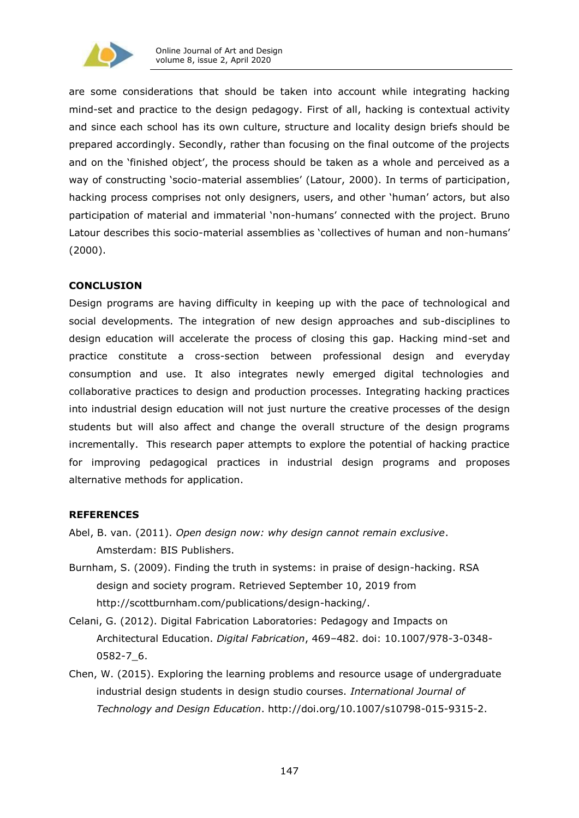

are some considerations that should be taken into account while integrating hacking mind-set and practice to the design pedagogy. First of all, hacking is contextual activity and since each school has its own culture, structure and locality design briefs should be prepared accordingly. Secondly, rather than focusing on the final outcome of the projects and on the 'finished object', the process should be taken as a whole and perceived as a way of constructing 'socio-material assemblies' (Latour, 2000). In terms of participation, hacking process comprises not only designers, users, and other 'human' actors, but also participation of material and immaterial 'non-humans' connected with the project. Bruno Latour describes this socio-material assemblies as 'collectives of human and non-humans' (2000).

# **CONCLUSION**

Design programs are having difficulty in keeping up with the pace of technological and social developments. The integration of new design approaches and sub-disciplines to design education will accelerate the process of closing this gap. Hacking mind-set and practice constitute a cross-section between professional design and everyday consumption and use. It also integrates newly emerged digital technologies and collaborative practices to design and production processes. Integrating hacking practices into industrial design education will not just nurture the creative processes of the design students but will also affect and change the overall structure of the design programs incrementally. This research paper attempts to explore the potential of hacking practice for improving pedagogical practices in industrial design programs and proposes alternative methods for application.

# **REFERENCES**

- Abel, B. van. (2011). *Open design now: why design cannot remain exclusive*. Amsterdam: BIS Publishers.
- Burnham, S. (2009). Finding the truth in systems: in praise of design-hacking. RSA design and society program. Retrieved September 10, 2019 from [http://scottburnham.com/publications/design-hacking/.](http://scottburnham.com/publications/design-hacking/)
- Celani, G. (2012). Digital Fabrication Laboratories: Pedagogy and Impacts on Architectural Education. *Digital Fabrication*, 469–482. doi: 10.1007/978-3-0348- 0582-7\_6.
- Chen, W. (2015). Exploring the learning problems and resource usage of undergraduate industrial design students in design studio courses. *International Journal of Technology and Design Education*. [http://doi.org/10.1007/s10798-015-9315-2.](http://doi.org/10.1007/s10798-015-9315-2)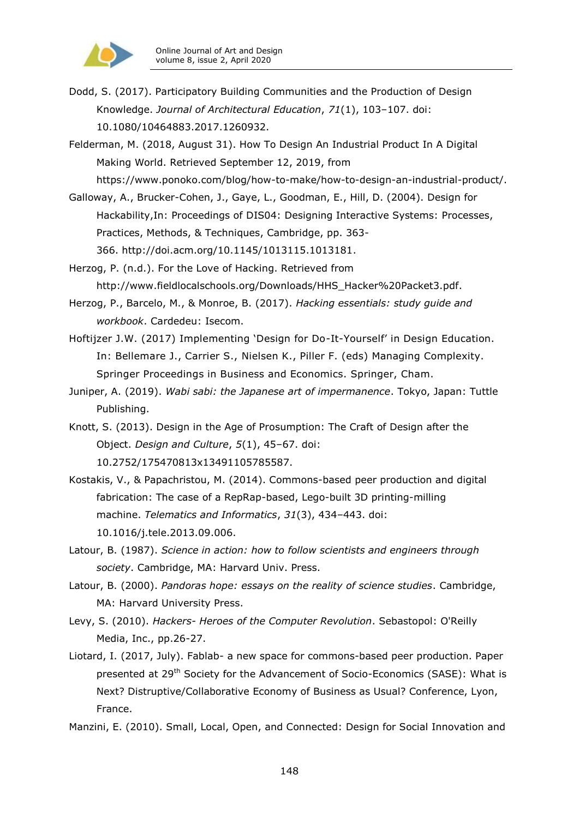

Dodd, S. (2017). Participatory Building Communities and the Production of Design Knowledge. *Journal of Architectural Education*, *71*(1), 103–107. doi: 10.1080/10464883.2017.1260932.

Felderman, M. (2018, August 31). How To Design An Industrial Product In A Digital Making World. Retrieved September 12, 2019, from [https://www.ponoko.com/blog/how-to-make/how-to-design-an-industrial-product/.](https://www.ponoko.com/blog/how-to-make/how-to-design-an-industrial-product/)

Galloway, A., Brucker-Cohen, J., Gaye, L., Goodman, E., Hill, D. (2004). Design for Hackability,In: Proceedings of [DIS04: Designing Interactive Systems: Processes,](https://www.interaction-design.org/literature/conference/proceedings-of-dis04-designing-interactive-systems-processes-practices-methods-techniques)  [Practices, Methods, & Techniques,](https://www.interaction-design.org/literature/conference/proceedings-of-dis04-designing-interactive-systems-processes-practices-methods-techniques) Cambridge, pp. 363-

366. [http://doi.acm.org/10.1145/1013115.1013181.](http://doi.acm.org/10.1145/1013115.1013181)

Herzog, P. (n.d.). For the Love of Hacking. Retrieved from [http://www.fieldlocalschools.org/Downloads/HHS\\_Hacker%20Packet3.pdf.](http://www.fieldlocalschools.org/Downloads/HHS_Hacker%20Packet3.pdf)

- Herzog, P., Barcelo, M., & Monroe, B. (2017). *Hacking essentials: study guide and workbook*. Cardedeu: Isecom.
- Hoftijzer J.W. (2017) Implementing 'Design for Do-It-Yourself' in Design Education. In: Bellemare J., Carrier S., Nielsen K., Piller F. (eds) Managing Complexity. Springer Proceedings in Business and Economics. Springer, Cham.

Juniper, A. (2019). *Wabi sabi: the Japanese art of impermanence*. Tokyo, Japan: Tuttle Publishing.

- Knott, S. (2013). Design in the Age of Prosumption: The Craft of Design after the Object. *Design and Culture*, *5*(1), 45–67. doi: 10.2752/175470813x13491105785587.
- Kostakis, V., & Papachristou, M. (2014). Commons-based peer production and digital fabrication: The case of a RepRap-based, Lego-built 3D printing-milling machine. *Telematics and Informatics*, *31*(3), 434–443. doi: 10.1016/j.tele.2013.09.006.
- Latour, B. (1987). *Science in action: how to follow scientists and engineers through society*. Cambridge, MA: Harvard Univ. Press.
- Latour, B. (2000). *Pandoras hope: essays on the reality of science studies*. Cambridge, MA: Harvard University Press.
- Levy, S. (2010). *Hackers- Heroes of the Computer Revolution*. Sebastopol: O'Reilly Media, Inc., pp.26-27.
- Liotard, I. (2017, July). Fablab- a new space for commons-based peer production. Paper presented at 29<sup>th</sup> Society for the Advancement of Socio-Economics (SASE): What is Next? Distruptive/Collaborative Economy of Business as Usual? Conference, Lyon, France.
- Manzini, E. (2010). Small, Local, Open, and Connected: Design for Social Innovation and